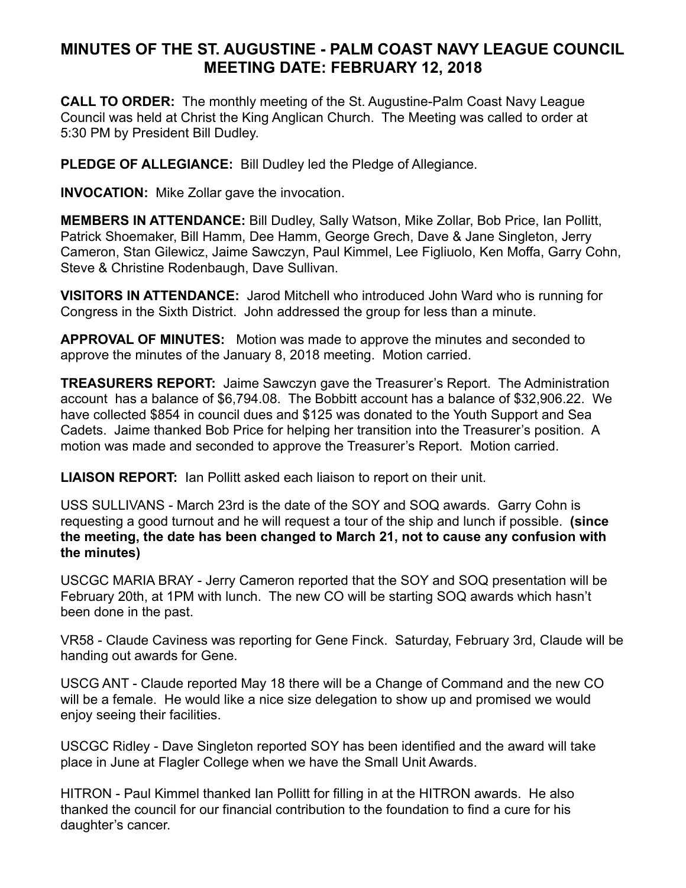## **MINUTES OF THE ST. AUGUSTINE - PALM COAST NAVY LEAGUE COUNCIL MEETING DATE: FEBRUARY 12, 2018**

**CALL TO ORDER:** The monthly meeting of the St. Augustine-Palm Coast Navy League Council was held at Christ the King Anglican Church. The Meeting was called to order at 5:30 PM by President Bill Dudley.

**PLEDGE OF ALLEGIANCE:** Bill Dudley led the Pledge of Allegiance.

**INVOCATION:** Mike Zollar gave the invocation.

**MEMBERS IN ATTENDANCE:** Bill Dudley, Sally Watson, Mike Zollar, Bob Price, Ian Pollitt, Patrick Shoemaker, Bill Hamm, Dee Hamm, George Grech, Dave & Jane Singleton, Jerry Cameron, Stan Gilewicz, Jaime Sawczyn, Paul Kimmel, Lee Figliuolo, Ken Moffa, Garry Cohn, Steve & Christine Rodenbaugh, Dave Sullivan.

**VISITORS IN ATTENDANCE:** Jarod Mitchell who introduced John Ward who is running for Congress in the Sixth District. John addressed the group for less than a minute.

**APPROVAL OF MINUTES:** Motion was made to approve the minutes and seconded to approve the minutes of the January 8, 2018 meeting. Motion carried.

**TREASURERS REPORT:** Jaime Sawczyn gave the Treasurer's Report. The Administration account has a balance of \$6,794.08. The Bobbitt account has a balance of \$32,906.22. We have collected \$854 in council dues and \$125 was donated to the Youth Support and Sea Cadets. Jaime thanked Bob Price for helping her transition into the Treasurer's position. A motion was made and seconded to approve the Treasurer's Report. Motion carried.

**LIAISON REPORT:** Ian Pollitt asked each liaison to report on their unit.

USS SULLIVANS - March 23rd is the date of the SOY and SOQ awards. Garry Cohn is requesting a good turnout and he will request a tour of the ship and lunch if possible. **(since the meeting, the date has been changed to March 21, not to cause any confusion with the minutes)** 

USCGC MARIA BRAY - Jerry Cameron reported that the SOY and SOQ presentation will be February 20th, at 1PM with lunch. The new CO will be starting SOQ awards which hasn't been done in the past.

VR58 - Claude Caviness was reporting for Gene Finck. Saturday, February 3rd, Claude will be handing out awards for Gene.

USCG ANT - Claude reported May 18 there will be a Change of Command and the new CO will be a female. He would like a nice size delegation to show up and promised we would enjoy seeing their facilities.

USCGC Ridley - Dave Singleton reported SOY has been identified and the award will take place in June at Flagler College when we have the Small Unit Awards.

HITRON - Paul Kimmel thanked Ian Pollitt for filling in at the HITRON awards. He also thanked the council for our financial contribution to the foundation to find a cure for his daughter's cancer.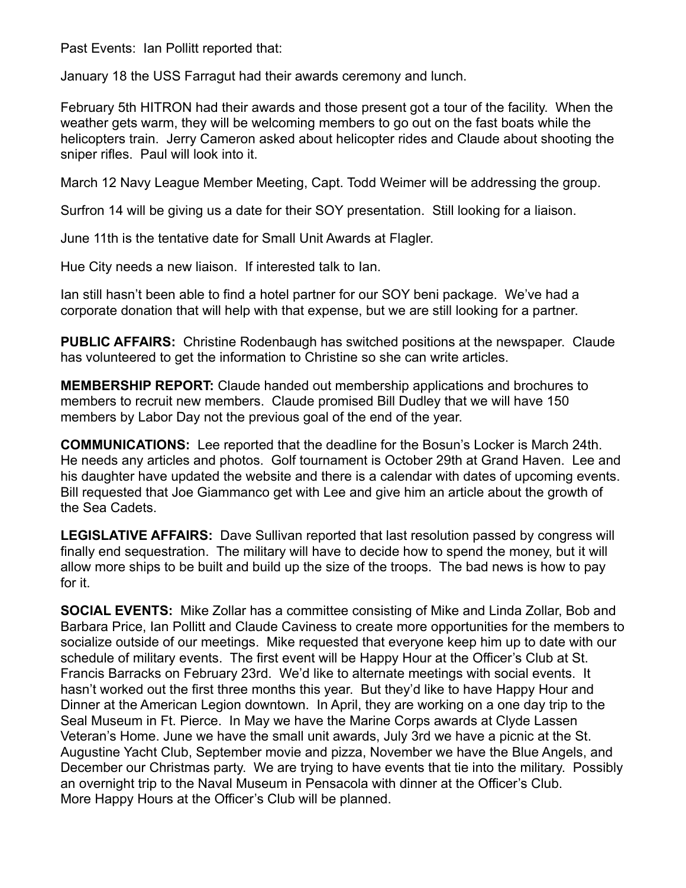Past Events: Ian Pollitt reported that:

January 18 the USS Farragut had their awards ceremony and lunch.

February 5th HITRON had their awards and those present got a tour of the facility. When the weather gets warm, they will be welcoming members to go out on the fast boats while the helicopters train. Jerry Cameron asked about helicopter rides and Claude about shooting the sniper rifles. Paul will look into it.

March 12 Navy League Member Meeting, Capt. Todd Weimer will be addressing the group.

Surfron 14 will be giving us a date for their SOY presentation. Still looking for a liaison.

June 11th is the tentative date for Small Unit Awards at Flagler.

Hue City needs a new liaison. If interested talk to Ian.

Ian still hasn't been able to find a hotel partner for our SOY beni package. We've had a corporate donation that will help with that expense, but we are still looking for a partner.

**PUBLIC AFFAIRS:** Christine Rodenbaugh has switched positions at the newspaper. Claude has volunteered to get the information to Christine so she can write articles.

**MEMBERSHIP REPORT:** Claude handed out membership applications and brochures to members to recruit new members. Claude promised Bill Dudley that we will have 150 members by Labor Day not the previous goal of the end of the year.

**COMMUNICATIONS:** Lee reported that the deadline for the Bosun's Locker is March 24th. He needs any articles and photos. Golf tournament is October 29th at Grand Haven. Lee and his daughter have updated the website and there is a calendar with dates of upcoming events. Bill requested that Joe Giammanco get with Lee and give him an article about the growth of the Sea Cadets.

**LEGISLATIVE AFFAIRS:** Dave Sullivan reported that last resolution passed by congress will finally end sequestration. The military will have to decide how to spend the money, but it will allow more ships to be built and build up the size of the troops. The bad news is how to pay for it.

**SOCIAL EVENTS:** Mike Zollar has a committee consisting of Mike and Linda Zollar, Bob and Barbara Price, Ian Pollitt and Claude Caviness to create more opportunities for the members to socialize outside of our meetings. Mike requested that everyone keep him up to date with our schedule of military events. The first event will be Happy Hour at the Officer's Club at St. Francis Barracks on February 23rd. We'd like to alternate meetings with social events. It hasn't worked out the first three months this year. But they'd like to have Happy Hour and Dinner at the American Legion downtown. In April, they are working on a one day trip to the Seal Museum in Ft. Pierce. In May we have the Marine Corps awards at Clyde Lassen Veteran's Home. June we have the small unit awards, July 3rd we have a picnic at the St. Augustine Yacht Club, September movie and pizza, November we have the Blue Angels, and December our Christmas party. We are trying to have events that tie into the military. Possibly an overnight trip to the Naval Museum in Pensacola with dinner at the Officer's Club. More Happy Hours at the Officer's Club will be planned.